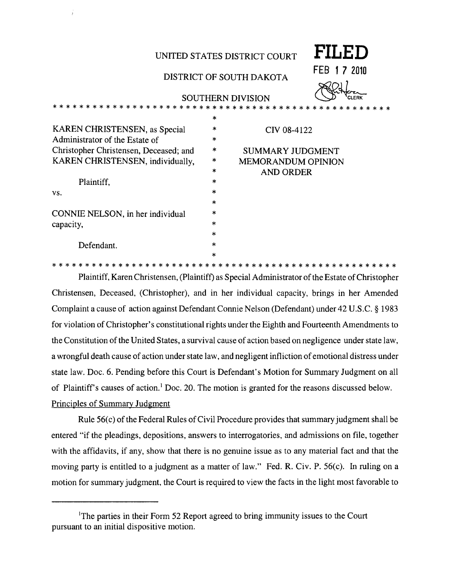|                                        |        | FILED<br>UNITED STATES DISTRICT COURT        |
|----------------------------------------|--------|----------------------------------------------|
|                                        |        | FEB.<br>1 7 2010<br>DISTRICT OF SOUTH DAKOTA |
|                                        |        | <b>SOUTHERN DIVISION</b><br><b>CLERK</b>     |
|                                        |        |                                              |
|                                        | $\ast$ |                                              |
| KAREN CHRISTENSEN, as Special          | *      | CIV 08-4122                                  |
| Administrator of the Estate of         | $\ast$ |                                              |
| Christopher Christensen, Deceased; and | *      | <b>SUMMARY JUDGMENT</b>                      |
| KAREN CHRISTENSEN, individually,       | ∗      | <b>MEMORANDUM OPINION</b>                    |
|                                        | $\ast$ | <b>AND ORDER</b>                             |
| Plaintiff,                             | $\ast$ |                                              |
| VS.                                    | $\ast$ |                                              |
|                                        | $\ast$ |                                              |
| CONNIE NELSON, in her individual       | *      |                                              |
| capacity,                              | ×      |                                              |
|                                        | ×      |                                              |
| Defendant.                             | $\ast$ |                                              |
|                                        | $\ast$ |                                              |

Plaintiff, Karen Christensen, (Plaintiff) as Special Administrator of the Estate of Christopher Christensen, Deceased, (Christopher), and in her individual capacity, brings in her Amended Complaint a cause of action against Defendant Connie Nelson (Defendant) under 42 U.S.C. § 1983 for violation of Christopher's constitutional rights under the Eighth and Fourteenth Amendments to the Constitution of the United States, a survival cause of action based on negligence under state law, a wrongful death cause of action under state law, and negligent infliction of emotional distress under state law. Doc. 6. Pending before this Court is Defendant's Motion for Summary Judgment on all of Plaintiff's causes of action.<sup>1</sup> Doc. 20. The motion is granted for the reasons discussed below. Principles of Summary Judgment

Rule 56(c) of the Federal Rules of Civil Procedure provides that summary judgment shall be entered "if the pleadings, depositions, answers to interrogatories, and admissions on file, together with the affidavits, if any, show that there is no genuine issue as to any material fact and that the moving party is entitled to a judgment as a matter of law." Fed. R. Civ. P. 56(c). In ruling on a motion for summary judgment, the Court is required to view the facts in the light most favorable to

<sup>&</sup>lt;sup>1</sup>The parties in their Form 52 Report agreed to bring immunity issues to the Court pursuant to an initial dispositive motion.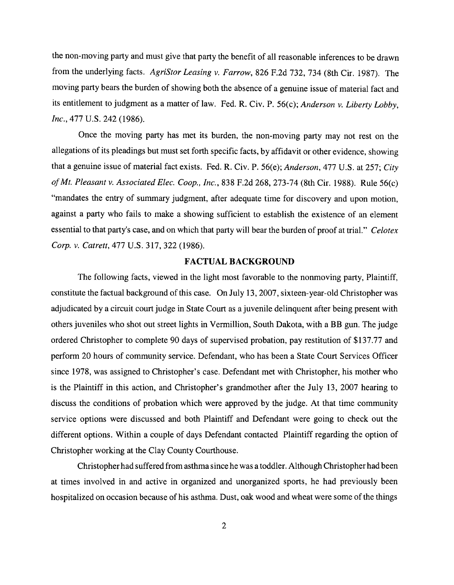the non-moving party and must give that party the benefit of all reasonable inferences to be drawn from the underlying facts. *AgriStor Leasing v. Farrow,* 826 F.2d 732, 734 (8th Cir. 1987). The moving party bears the burden of showing both the absence of a genuine issue of material fact and its entitlement to judgment as a matter of law. Fed. R. Civ. P. 56(c); *Anderson v. Liberty Lobby, Inc.,* 477 U.S. 242 (1986).

Once the moving party has met its burden, the non-moving party may not rest on the allegations of its pleadings but must set forth specific facts, by affidavit or other evidence, showing that a genuine issue of material fact exists. Fed. R. Civ. P. 56(e); *Anderson,* 477 U.S. at 257; *City ofMt. Pleasant v. Associated Elec. Coop., Inc.,* 838 F.2d 268,273-74 (8th Cir. 1988). Rule 56(c) "mandates the entry of summary judgment, after adequate time for discovery and upon motion, against a party who fails to make a showing sufficient to establish the existence of an element essential to that party's case, and on which that party will bear the burden of proof at trial." *Celotex Corp. v. Catrett,* 477 U.S. 317,322 (1986).

#### FACTUAL BACKGROUND

The following facts, viewed in the light most favorable to the nonmoving party, Plaintiff, constitute the factual background of this case. On July 13, 2007, sixteen-year-old Christopher was adjudicated by a circuit court judge in State Court as a juvenile delinquent after being present with others juveniles who shot out street lights in Vermillion, South Dakota, with a **BB** gun. The judge ordered Christopher to complete 90 days of supervised probation, pay restitution of \$137.77 and perform 20 hours of community service. Defendant, who has been a State Court Services Officer since 1978, was assigned to Christopher's case. Defendant met with Christopher, his mother who is the Plaintiff in this action, and Christopher's grandmother after the July 13, 2007 hearing to discuss the conditions of probation which were approved by the judge. At that time community service options were discussed and both Plaintiff and Defendant were going to check out the different options. Within a couple of days Defendant contacted Plaintiff regarding the option of Christopher working at the Clay County Courthouse.

Christopher had suffered from asthma since he was a toddler. Although Christopher had been at times involved in and active in organized and unorganized sports, he had previously been hospitalized on occasion because of his asthma. Dust, oak wood and wheat were some of the things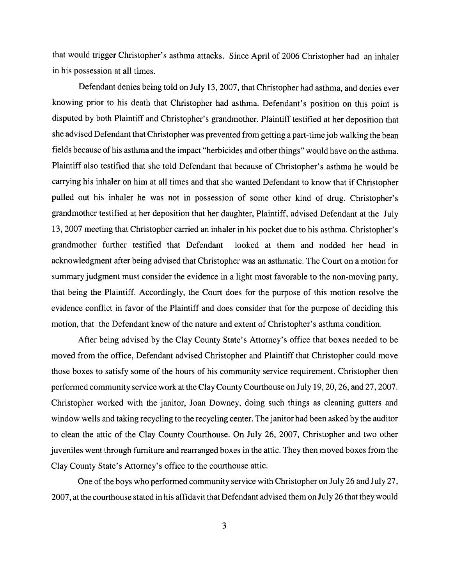that would trigger Christopher's asthma attacks. Since April of 2006 Christopher had an inhaler in his possession at all times.

Defendant denies being told on July 13,2007, that Christopher had asthma, and denies ever knowing prior to his death that Christopher had asthma. Defendant's position on this point is disputed by both Plaintiff and Christopher's grandmother. Plaintiff testified at her deposition that she advised Defendant that Christopher was prevented from getting a part-time job walking the bean fields because of his asthma and the impact "herbicides and other things" would have on the asthma. Plaintiff also testified that she told Defendant that because of Christopher's asthma he would be carrying his inhaler on him at all times and that she wanted Defendant to know that if Christopher pulled out his inhaler he was not in possession of some other kind of drug. Christopher's grandmother testified at her deposition that her daughter, Plaintiff, advised Defendant at the July 13,2007 meeting that Christopher carried an inhaler in his pocket due to his asthma. Christopher's grandmother further testified that Defendant looked at them and nodded her head in acknowledgment after being advised that Christopher was an asthmatic. The Court on a motion for summary judgment must consider the evidence in a light most favorable to the non-moving party, that being the Plaintiff. Accordingly, the Court does for the purpose of this motion resolve the evidence conflict in favor of the Plaintiff and does consider that for the purpose of deciding this motion, that the Defendant knew of the nature and extent of Christopher's asthma condition.

After being advised by the Clay County State's Attorney's office that boxes needed to be moved from the office, Defendant advised Christopher and Plaintiff that Christopher could move those boxes to satisfy some of the hours of his community service requirement. Christopher then performed community service work at the Clay County Courthouse on July 19, 20, 26, and 27, 2007. Christopher worked with the janitor, Joan Downey, doing such things as cleaning gutters and window wells and taking recycling to the recycling center. The janitor had been asked by the auditor to clean the attic of the Clay County Courthouse. On July 26, 2007, Christopher and two other juveniles went through furniture and rearranged boxes in the attic. They then moved boxes from the Clay County State's Attorney's office to the courthouse attic.

One of the boys who performed community service with Christopher on July 26 and July 27, 2007, at the courthouse stated in his affidavit that Defendant advised them on July 26 that they would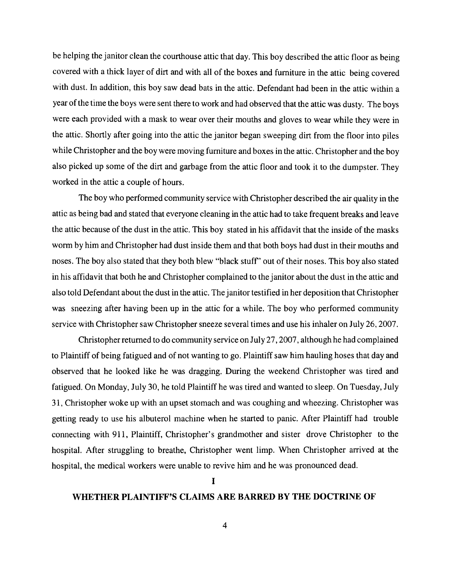be helping the janitor clean the courthouse attic that day. This boy described the attic floor as being covered with a thick layer of dirt and with all of the boxes and furniture in the attic being covered with dust. In addition, this boy saw dead bats in the attic. Defendant had been in the attic within a year of the time the boys were sent there to work and had observed that the attic was dusty. The boys were each provided with a mask to wear over their mouths and gloves to wear while they were in the attic. Shortly after going into the attic the janitor began sweeping dirt from the floor into piles while Christopher and the boy were moving furniture and boxes in the attic. Christopher and the boy also picked up some of the dirt and garbage from the attic floor and took it to the dumpster. They worked in the attic a couple of hours.

The boy who performed community service with Christopher described the air quality in the attic as being bad and stated that everyone cleaning in the attic had to take frequent breaks and leave the attic because of the dust in the attic. This boy stated in his affidavit that the inside of the masks worm by him and Christopher had dust inside them and that both boys had dust in their mouths and noses. The boy also stated that they both blew "black stuff' out of their noses. This boy also stated in his affidavit that both he and Christopher complained to the janitor about the dust in the attic and also told Defendant about the dust in the attic. The janitor testified in her deposition that Christopher was sneezing after having been up in the attic for a while. The boy who performed community service with Christopher saw Christopher sneeze several times and use his inhaler on July 26, 2007.

Christopher returned to do community service on July 27,2007, although he had complained to Plaintiff of being fatigued and of not wanting to go. Plaintiff saw him hauling hoses that day and observed that he looked like he was dragging. During the weekend Christopher was tired and fatigued. On Monday, July 30, he told Plaintiff he was tired and wanted to sleep. On Tuesday, July 31, Christopher woke up with an upset stomach and was coughing and wheezing. Christopher was getting ready to use his albuterol machine when he started to panic. After Plaintiff had trouble connecting with 911, Plaintiff, Christopher's grandmother and sister drove Christopher to the hospital. After struggling to breathe, Christopher went limp. When Christopher arrived at the hospital, the medical workers were unable to revive him and he was pronounced dead.

I

## **WHETHER PLAINTIFF'S CLAIMS ARE BARRED BY THE DOCTRINE OF**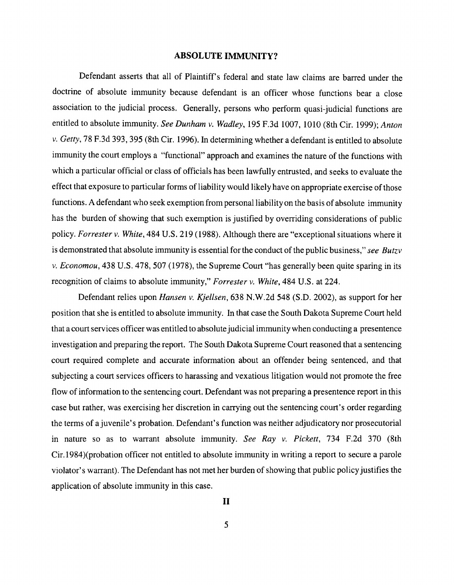### **ABSOLUTE IMMUNITY?**

Defendant asserts that all of Plaintiff's federal and state law claims are barred under the doctrine of absolute immunity because defendant is an officer whose functions bear a close association to the judicial process. Generally, persons who perform quasi-judicial functions are entitled to absolute immunity. *See Dunham v. Wadley,* 195 F.3d 1007, 1010 (8th Cir. 1999); *Anton v. Getty,* 78 F.3d 393, 395 (8th Cir. 1996). In determining whether a defendant is entitled to absolute immunity the court employs a "functional" approach and examines the nature of the functions with which a particular official or class of officials has been lawfully entrusted, and seeks to evaluate the effect that exposure to particular forms of liability would likely have on appropriate exercise of those functions. A defendant who seek exemption from personal liability on the basis of absolute immunity has the burden of showing that such exemption is justified by overriding considerations of public policy. *Forrester v. White,* 484 U.S. 219 (1988). Although there are "exceptional situations where it is demonstrated that absolute immunity is essential for the conduct of the public business," *see Butzv v. Economou,* 438 U.S. 478, 507 (1978), the Supreme Court "has generally been quite sparing in its recognition of claims to absolute immunity," *Forrester v. White,* 484 U.S. at 224.

Defendant relies upon *Hansen v. Kjellsen,* 638 N.W.2d 548 (S.D. 2002), as support for her position that she is entitled to absolute immunity. In that case the South Dakota Supreme Court held that a court services officer was entitled to absolute judicial immunity when conducting a presentence investigation and preparing the report. The South Dakota Supreme Court reasoned that a sentencing court required complete and accurate information about an offender being sentenced, and that subjecting a court services officers to harassing and vexatious litigation would not promote the free flow of information to the sentencing court. Defendant was not preparing a presentence report in this case but rather, was exercising her discretion in carrying out the sentencing court's order regarding the terms of ajuvenile's probation. Defendant's function was neither adjudicatory nor prosecutorial in nature so as to warrant absolute immunity. *See Ray v. Pickett,* 734 F.2d 370 (8th Cir.1984)(probation officer not entitled to absolute immunity in writing a report to secure a parole violator's warrant). The Defendant has not met her burden of showing that public policy justifies the application of absolute immunity in this case.

5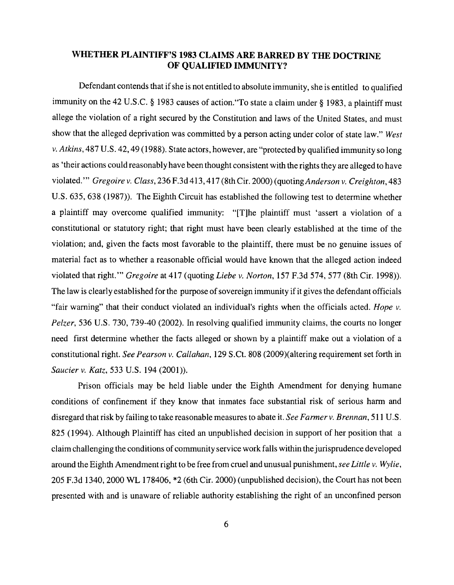## **WHETHER PLAINTIFF'S 1983 CLAIMS ARE BARRED BY THE DOCTRINE OF QUALIFIED IMMUNITY?**

Defendant contends that if she is not entitled to absolute immunity, she is entitled to qualified immunity on the 42 U.S.C. § 1983 causes of action. To state a claim under § 1983, a plaintiff must allege the violation of a right secured by the Constitution and laws of the United States, and must show that the alleged deprivation was committed by a person acting under color of state law." *West v. Atkins,* 487 U.S. 42,49 (1988). State actors, however, are "protected by qualified immunity so long as 'their actions could reasonably have been thought consistent with the rights they are alleged to have violated. '" *Gregoire v. Class,* 236 F.3d 413, 417 (8th Cir. 2000) (quoting *Anderson v. Creighton,* 483 U.S. 635, 638 (1987)). The Eighth Circuit has established the following test to determine whether a plaintiff may overcome qualified immunity: "[T]he plaintiff must 'assert a violation of a constitutional or statutory right; that right must have been clearly established at the time of the violation; and, given the facts most favorable to the plaintiff, there must be no genuine issues of material fact as to whether a reasonable official would have known that the alleged action indeed violated that right." *Gregoire* at 417 (quoting *Liebe v. Norton*, 157 F.3d 574, 577 (8th Cir. 1998)). The law is clearly established for the purpose of sovereign immunity if it gives the defendant officials "fair warning" that their conduct violated an individual's rights when the officials acted. *Hope v. Pelzer,* 536 U.S. 730, 739-40 (2002). In resolving qualified immunity claims, the courts no longer need first determine whether the facts alleged or shown by a plaintiff make out a violation of a constitutional right. *See Pearson v. Callahan,* 129 S.Ct. 808 (2009)(altering requirement set forth in *Saucier v. Katz,* 533 U.S. 194 (2001).

Prison officials may be held liable under the Eighth Amendment for denying humane conditions of confinement if they know that inmates face substantial risk of serious harm and disregard that risk by failing to take reasonable measures to abate it. *See Farmerv. Brennan,* 511 U.S. 825 (1994). Although Plaintiff has cited an unpublished decision in support of her position that a claim challenging the conditions of community service work falls within the jurisprudence developed around the Eighth Amendment right to be free from cruel and unusual punishment, *see Little v. Wylie,*  205 F.3d 1340,2000 WL 178406, \*2 (6th Cir. 2000) (unpublished decision), the Court has not been presented with and is unaware of reliable authority establishing the right of an unconfined person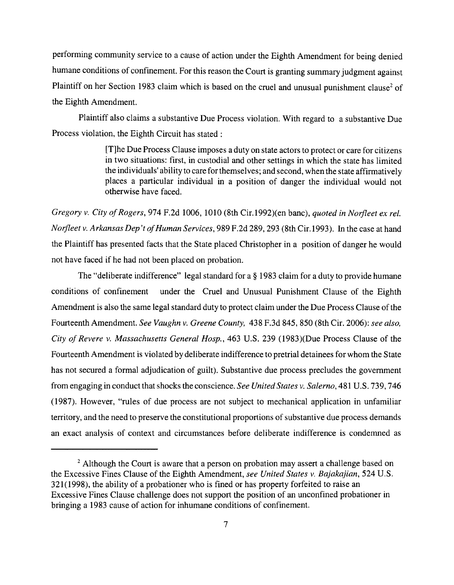performing community service to a cause of action under the Eighth Amendment for being denied humane conditions of confinement. For this reason the Court is granting summary judgment against Plaintiff on her Section 1983 claim which is based on the cruel and unusual punishment clause<sup>2</sup> of the Eighth Amendment.

Plaintiff also claims a substantive Due Process violation. With regard to a substantive Due Process violation, the Eighth Circuit has stated:

> [T]he Due Process Clause imposes a duty on state actors to protect or care for citizens in two situations: first, in custodial and other settings in which the state has limited the individuals' ability to care for themselves; and second, when the state affirmatively places a particular individual in a position of danger the individual would not otherwise have faced.

*Gregory v. City of Rogers, 974 F.2d 1006, 1010 (8th Cir.1992)(en banc), quoted in Norfleet ex rel. Norfleet v. Arkansas Dep't of Human Services, 989 F.2d 289, 293 (8th Cir.1993). In the case at hand* the Plaintiff has presented facts that the State placed Christopher in a position of danger he would not have faced if he had not been placed on probation.

The "deliberate indifference" legal standard for a § 1983 claim for a duty to provide humane conditions of confinement under the Cruel and Unusual Punishment Clause of the Eighth Amendment is also the same legal standard duty to protect claim under the Due Process Clause of the Fourteenth Amendment. *See Vaughn v. Greene County,* 438 F.3d 845,850 (8th Cir. 2006): *see also, City of Revere v. Massachusetts General Hosp.,* 463 U.S. 239 (1983)(Due Process Clause of the Fourteenth Amendment is violated by deliberate indifference to pretrial detainees for whom the State has not secured a formal adjudication of guilt). Substantive due process precludes the government from engaging in conduct that shocks the conscience. *See United States v. Salerno,* 481 U.S. 739, 746 (1987). However, "rules of due process are not subject to mechanical application in unfamiliar territory, and the need to preserve the constitutional proportions of substantive due process demands an exact analysis of context and circumstances before deliberate indifference is condemned as

 $2$  Although the Court is aware that a person on probation may assert a challenge based on the Excessive Fines Clause of the Eighth Amendment, *see United States v. Bajakajian,* 524 U.S. 321(1998), the ability of a probationer who is fined or has property forfeited to raise an Excessive Fines Clause challenge does not support the position of an unconfined probationer in bringing a 1983 cause of action for inhumane conditions of confinement.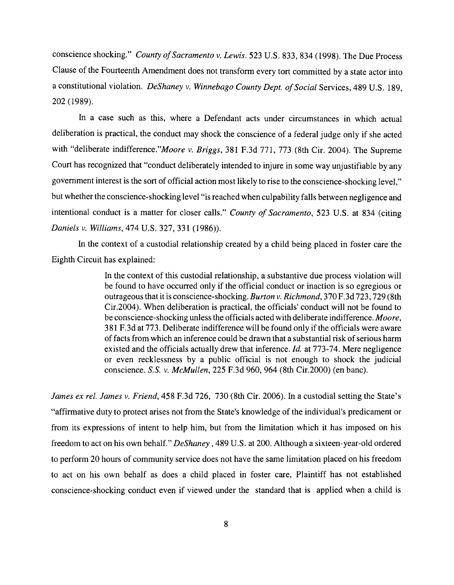conscience shocking." *County of Sacramento v. Lewis.* 523 U.S. 833, 834 (1998). The Due Process Clause of the Fourteenth Amendment does not transform every tort committed by a state actor into a constitutional violation. *DeShaney v. Winnebago County Dept. of Social Services*, 489 U.S. 189, 202 (1989).

In a case such as this, where a Defendant acts under circumstances in which actual deliberation is practical, the conduct may shock the conscience of a federal judge only if she acted with "deliberate *indifference."Moore v. Briggs,* 381 F.3d 771, 773 (8th Cir. 2004). The Supreme Court has recognized that "conduct deliberately intended to injure in some way unjustifiable by any government interest is the sort of official action most likely to rise to the conscience-shocking level," but whether the conscience-shocking level "is reached when culpability falls between negligence and intentional conduct is a matter for closer calls." *County of Sacramento,* 523 U.S. at 834 (citing *Daniels v. Williams,* 474 U.S. 327, 331 (1986)).

In the context of a custodial relationship created by a child being placed in foster care the Eighth Circuit has explained:

> In the context of this custodial relationship, a substantive due process violation will be found to have occurred only if the official conduct or inaction is so egregious or outrageous that it is conscience-shocking. *Burton v. Richmond,* 370 F.3d 723,729 (8th Cir.2004). When deliberation is practical, the officials' conduct will not be found to be conscience-shocking unless the officials acted with deliberate indifference. *Moore,*  381 F.3d at 773. Deliberate indifference will be found only if the officials were aware of facts from which an inference could be drawn that a substantial risk of serious harm existed and the officials actually drew that inference. *Id.* at 773-74. Mere negligence or even recklessness by a public official is not enough to shock the judicial conscience. *S.s. v. McMullen,* 225 F.3d 960,964 (8th Cir.2000) (en banc).

*James ex rel. James v. Friend,* 458 F.3d 726, 730 (8th Cir. 2006). In a custodial setting the State's "affirmative duty to protect arises not from the State's knowledge of the individual's predicament or from its expressions of intent to help him, but from the limitation which it has imposed on his freedom to act on his own behalf." *DeShaney,* 489 U.S. at 200. Although a sixteen-year-old ordered to perform 20 hours of community service does not have the same limitation placed on his freedom to act on his own behalf as does a child placed in foster care, Plaintiff has not established conscience-shocking conduct even if viewed under the standard that is applied when a child is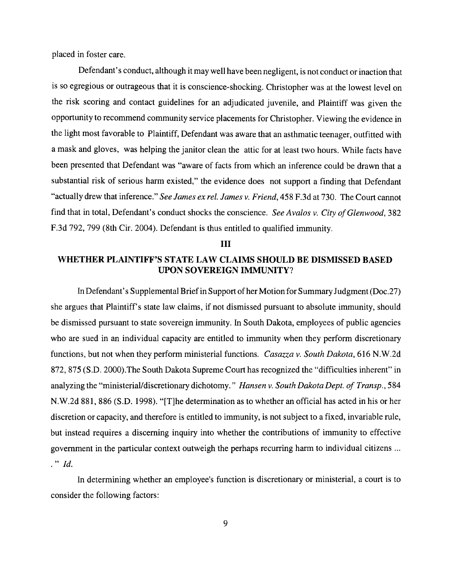placed in foster care.

Defendant's conduct, although it may well have been negligent, is not conduct or inaction that is so egregious or outrageous that it is conscience-shocking. Christopher was at the lowest level on the risk scoring and contact guidelines for an adjudicated juvenile, and Plaintiff was given the opportunity to recommend community service placements for Christopher. Viewing the evidence in the light most favorable to Plaintiff, Defendant was aware that an asthmatic teenager, outfitted with a mask and gloves, was helping the janitor clean the attic for at least two hours. While facts have been presented that Defendant was "aware of facts from which an inference could be drawn that a substantial risk of serious harm existed," the evidence does not support a finding that Defendant "actually drew that inference." *See James ex reI. James v. Friend,* 458 F.3d at 730. The Court cannot find that in total, Defendant's conduct shocks the conscience. *See Avalos v. City of Glenwood*, 382 F.3d 792, 799 (8th Cir. 2004). Defendant is thus entitled to qualified immunity.

#### **III**

## **WHETHER PLAINTIFF'S STATE LAW CLAIMS SHOULD BE DISMISSED BASED UPON SOVEREIGN IMMUNITY?**

In Defendant's Supplemental Briefin Support ofher Motion for Summary Judgment (Doc.27) she argues that Plaintiff's state law claims, if not dismissed pursuant to absolute immunity, should be dismissed pursuant to state sovereign immunity. In South Dakota, employees of public agencies who are sued in an individual capacity are entitled to immunity when they perform discretionary functions, but not when they perform ministerial functions. *Casazza v. South Dakota,* 616 N.W.2d 872,875 (S.D. 2000).The South Dakota Supreme Court has recognized the "difficulties inherent" in analyzing the "ministerialldiscretionary dichotomy." *Hansen v. South Dakota Dept. of Transp.,* 584 N.W.2d 881, 886 (S.D. 1998). "[T]he determination as to whether an official has acted in his or her discretion or capacity, and therefore is entitled to immunity, is not subject to a fixed, invariable rule, but instead requires a discerning inquiry into whether the contributions of immunity to effective government in the particular context outweigh the perhaps recurring harm to individual citizens ...  $\therefore$   $Id.$ 

In determining whether an employee's function is discretionary or ministerial, a court is to consider the following factors: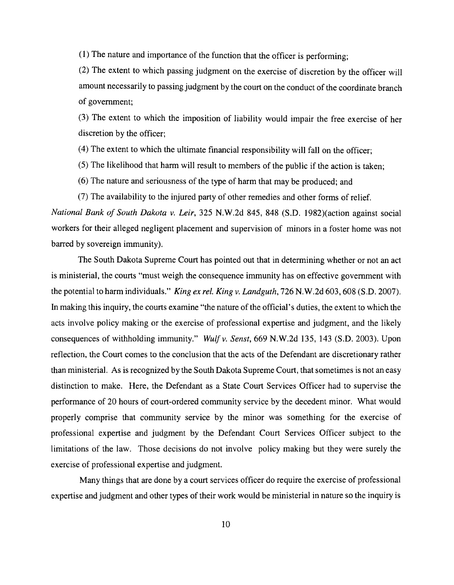(1) The nature and importance of the function that the officer is performing;

(2) The extent to which passing judgment on the exercise of discretion by the officer will amount necessarily to passing judgment by the court on the conduct of the coordinate branch of government;

(3) The extent to which the imposition of liability would impair the free exercise of her discretion by the officer;

(4) The extent to which the ultimate financial responsibility will fall on the officer;

- (5) The likelihood that harm will result to members of the public if the action is taken;
- (6) The nature and seriousness of the type of harm that may be produced; and
- (7) The availability to the injured party of other remedies and other forms of relief.

*National Bank of South Dakota v. Leir,* 325 N.W.2d 845, 848 (S.D. 1982)(action against social workers for their alleged negligent placement and supervision of minors in a foster home was not barred by sovereign immunity).

The South Dakota Supreme Court has pointed out that in determining whether or not an act is ministerial, the courts "must weigh the consequence immunity has on effective government with the potential to harm individuals." *King ex rel. King v. Landguth,* 726 N.W.2d 603, 608 (S.D. 2007). In making this inquiry, the courts examine "the nature of the official's duties, the extent to which the acts involve policy making or the exercise of professional expertise and judgment, and the likely consequences of withholding immunity." *Wulfv. Senst,* 669 N.W.2d 135, 143 (S.D. 2003). Upon reflection, the Court comes to the conclusion that the acts of the Defendant are discretionary rather than ministerial. As is recognized by the South Dakota Supreme Court, that sometimes is not an easy distinction to make. Here, the Defendant as a State Court Services Officer had to supervise the performance of 20 hours of court-ordered community service by the decedent minor. What would properly comprise that community service by the minor was something for the exercise of professional expertise and judgment by the Defendant Court Services Officer subject to the limitations of the law. Those decisions do not involve policy making but they were surely the exercise of professional expertise and judgment.

Many things that are done by a court services officer do require the exercise of professional expertise and judgment and other types of their work would be ministerial in nature so the inquiry is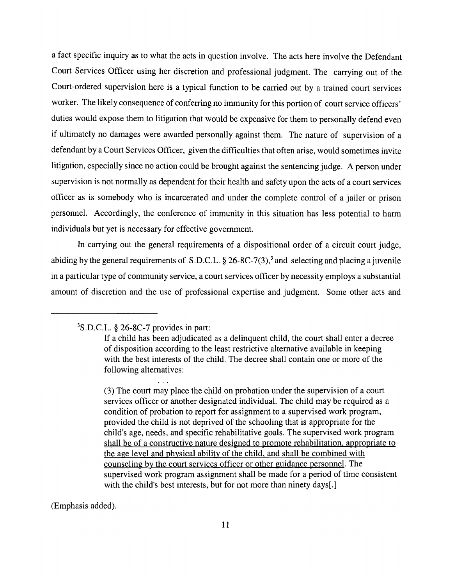a fact specific inquiry as to what the acts in question involve. The acts here involve the Defendant Court Services Officer using her discretion and professional judgment. The carrying out of the Court-ordered supervision here is a typical function to be carried out by a trained court services worker. The likely consequence of conferring no immunity for this portion of court service officers' duties would expose them to litigation that would be expensive for them to personally defend even if ultimately no damages were awarded personally against them. The nature of supervision of a defendant by a Court Services Officer, given the difficulties that often arise, would sometimes invite litigation, especially since no action could be brought against the sentencing judge. A person under supervision is not normally as dependent for their health and safety upon the acts of a court services officer as is somebody who is incarcerated and under the complete control of a jailer or prison personnel. Accordingly, the conference of immunity in this situation has less potential to harm individuals but yet is necessary for effective government.

In carrying out the general requirements of a dispositional order of a circuit court judge, abiding by the general requirements of S.D.C.L.  $\S 26-8C-7(3)$ , and selecting and placing a juvenile in a particular type of community service, a court services officer by necessity employs a substantial amount of discretion and the use of professional expertise and judgment. Some other acts and

(Emphasis added).

<sup>3</sup>S.D.C.L. § 26-8C-7 provides in part:

If a child has been adjudicated as a delinquent child, the court shall enter a decree of disposition according to the least restrictive alternative available in keeping with the best interests of the child. The decree shall contain one or more of the following alternatives:

<sup>(3)</sup> The court may place the child on probation under the supervision of a court services officer or another designated individual. The child may be required as a condition of probation to report for assignment to a supervised work program, provided the child is not deprived of the schooling that is appropriate for the child's age, needs, and specific rehabilitative goals. The supervised work program shall be of a constructive nature designed to promote rehabilitation, appropriate to the age level and physical ability of the child. and shall be combined with counseling by the court services officer or other guidance personnel. The supervised work program assignment shall be made for a period of time consistent with the child's best interests, but for not more than ninety days[.]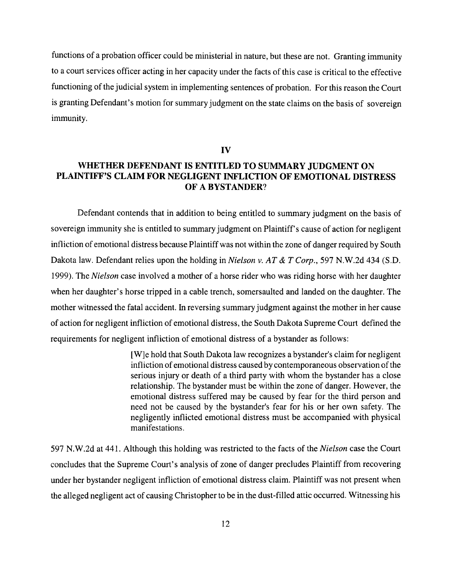functions of a probation officer could be ministerial in nature, but these are not. Granting immunity to a court services officer acting in her capacity under the facts of this case is critical to the effective functioning of the judicial system in implementing sentences of probation. For this reason the Court is granting Defendant's motion for summary judgment on the state claims on the basis of sovereign immunity.

#### **IV**

# **WHETHER DEFENDANT IS ENTITLED TO SUMMARY JUDGMENT ON PLAINTIFF'S CLAIM FOR NEGLIGENT INFLICTION OF EMOTIONAL DISTRESS OF A BYSTANDER?**

Defendant contends that in addition to being entitled to summary judgment on the basis of sovereign immunity she is entitled to summary judgment on Plaintiff's cause of action for negligent infliction of emotional distress because Plaintiff was not within the zone of danger required by South Dakota law. Defendant relies upon the holding in *Nielson v. AT* & *T Corp.,* 597 N.W.2d 434 (S.D. 1999). The *Nielson* case involved a mother of a horse rider who was riding horse with her daughter when her daughter's horse tripped in a cable trench, somersaulted and landed on the daughter. The mother witnessed the fatal accident. In reversing summary judgment against the mother in her cause of action for negligent infliction of emotional distress, the South Dakota Supreme Court defined the requirements for negligent infliction of emotional distress of a bystander as follows:

> [W]e hold that South Dakota law recognizes a bystander's claim for negligent infliction of emotional distress caused by contemporaneous observation of the serious injury or death of a third party with whom the bystander has a close relationship. The bystander must be within the zone of danger. However, the emotional distress suffered may be caused by fear for the third person and need not be caused by the bystander's fear for his or her own safety. The negligently inflicted emotional distress must be accompanied with physical manifestations.

597 N.W.2d at 441. Although this holding was restricted to the facts of the *Nielson* case the Court concludes that the Supreme Court's analysis of zone of danger precludes Plaintiff from recovering under her bystander negligent infliction of emotional distress claim. Plaintiff was not present when the alleged negligent act of causing Christopher to be in the dust-filled attic occurred. Witnessing his